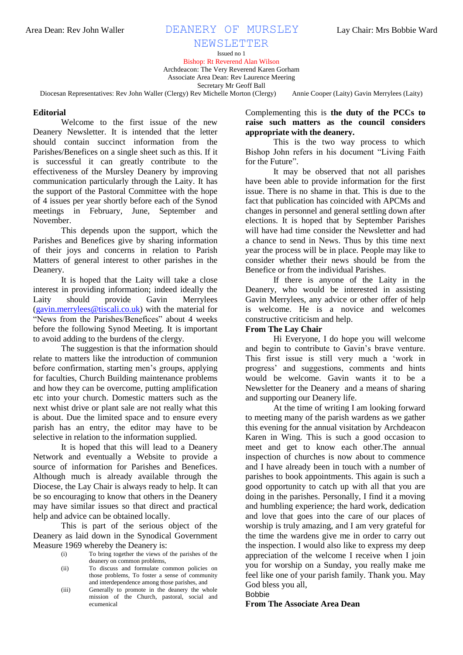## Area Dean: Rev John Waller **DEANERY OF MURSLEY** Lay Chair: Mrs Bobbie Ward

# NEWSLETTER

Issued no 1 Bishop: Rt Reverend Alan Wilson Archdeacon: The Very Reverend Karen Gorham Associate Area Dean: Rev Laurence Meering Secretary Mr Geoff Ball

Diocesan Representatives: Rev John Waller (Clergy) Rev Michelle Morton (Clergy) Annie Cooper (Laity) Gavin Merrylees (Laity)

#### **Editorial**

Welcome to the first issue of the new Deanery Newsletter. It is intended that the letter should contain succinct information from the Parishes/Benefices on a single sheet such as this. If it is successful it can greatly contribute to the effectiveness of the Mursley Deanery by improving communication particularly through the Laity. It has the support of the Pastoral Committee with the hope of 4 issues per year shortly before each of the Synod meetings in February, June, September and November.

This depends upon the support, which the Parishes and Benefices give by sharing information of their joys and concerns in relation to Parish Matters of general interest to other parishes in the Deanery.

It is hoped that the Laity will take a close interest in providing information; indeed ideally the Laity should provide Gavin Merrylees [\(gavin.merrylees@tiscali.co.uk\)](mailto:gavin.merrylees@tiscali.co.uk) with the material for "News from the Parishes/Benefices" about 4 weeks before the following Synod Meeting. It is important to avoid adding to the burdens of the clergy.

The suggestion is that the information should relate to matters like the introduction of communion before confirmation, starting men"s groups, applying for faculties, Church Building maintenance problems and how they can be overcome, putting amplification etc into your church. Domestic matters such as the next whist drive or plant sale are not really what this is about. Due the limited space and to ensure every parish has an entry, the editor may have to be selective in relation to the information supplied.

It is hoped that this will lead to a Deanery Network and eventually a Website to provide a source of information for Parishes and Benefices. Although much is already available through the Diocese, the Lay Chair is always ready to help. It can be so encouraging to know that others in the Deanery may have similar issues so that direct and practical help and advice can be obtained locally.

This is part of the serious object of the Deanery as laid down in the Synodical Government Measure 1969 whereby the Deanery is:

- (i) To bring together the views of the parishes of the deanery on common problems,
- (ii) To discuss and formulate common policies on those problems, To foster a sense of community and interdependence among those parishes, and
- (iii) Generally to promote in the deanery the whole mission of the Church, pastoral, social and ecumenical

Complementing this is **the duty of the PCCs to raise such matters as the council considers appropriate with the deanery.**

This is the two way process to which Bishop John refers in his document "Living Faith for the Future".

It may be observed that not all parishes have been able to provide information for the first issue. There is no shame in that. This is due to the fact that publication has coincided with APCMs and changes in personnel and general settling down after elections. It is hoped that by September Parishes will have had time consider the Newsletter and had a chance to send in News. Thus by this time next year the process will be in place. People may like to consider whether their news should be from the Benefice or from the individual Parishes.

If there is anyone of the Laity in the Deanery, who would be interested in assisting Gavin Merrylees, any advice or other offer of help is welcome. He is a novice and welcomes constructive criticism and help.

### **From The Lay Chair**

Hi Everyone, I do hope you will welcome and begin to contribute to Gavin"s brave venture. This first issue is still very much a "work in progress" and suggestions, comments and hints would be welcome. Gavin wants it to be a Newsletter for the Deanery and a means of sharing and supporting our Deanery life.

At the time of writing I am looking forward to meeting many of the parish wardens as we gather this evening for the annual visitation by Archdeacon Karen in Wing. This is such a good occasion to meet and get to know each other.The annual inspection of churches is now about to commence and I have already been in touch with a number of parishes to book appointments. This again is such a good opportunity to catch up with all that you are doing in the parishes. Personally, I find it a moving and humbling experience; the hard work, dedication and love that goes into the care of our places of worship is truly amazing, and I am very grateful for the time the wardens give me in order to carry out the inspection. I would also like to express my deep appreciation of the welcome I receive when I join you for worship on a Sunday, you really make me feel like one of your parish family. Thank you. May God bless you all,

Bobbie

### **From The Associate Area Dean**